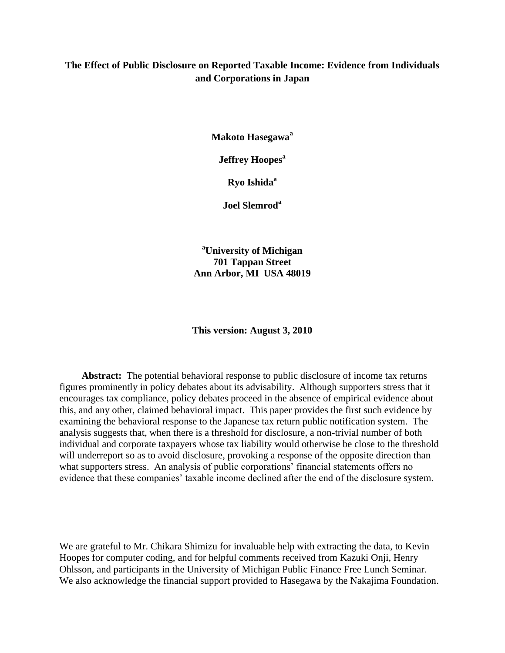# **The Effect of Public Disclosure on Reported Taxable Income: Evidence from Individuals and Corporations in Japan**

**Makoto Hasegawa<sup>a</sup>**

**Jeffrey Hoopes<sup>a</sup>**

**Ryo Ishida<sup>a</sup>**

**Joel Slemrod<sup>a</sup>**

**<sup>a</sup>University of Michigan 701 Tappan Street Ann Arbor, MI USA 48019**

**This version: August 3, 2010**

**Abstract:** The potential behavioral response to public disclosure of income tax returns figures prominently in policy debates about its advisability. Although supporters stress that it encourages tax compliance, policy debates proceed in the absence of empirical evidence about this, and any other, claimed behavioral impact. This paper provides the first such evidence by examining the behavioral response to the Japanese tax return public notification system. The analysis suggests that, when there is a threshold for disclosure, a non-trivial number of both individual and corporate taxpayers whose tax liability would otherwise be close to the threshold will underreport so as to avoid disclosure, provoking a response of the opposite direction than what supporters stress. An analysis of public corporations' financial statements offers no evidence that these companies' taxable income declined after the end of the disclosure system.

We are grateful to Mr. Chikara Shimizu for invaluable help with extracting the data, to Kevin Hoopes for computer coding, and for helpful comments received from Kazuki Onji, Henry Ohlsson, and participants in the University of Michigan Public Finance Free Lunch Seminar. We also acknowledge the financial support provided to Hasegawa by the Nakajima Foundation.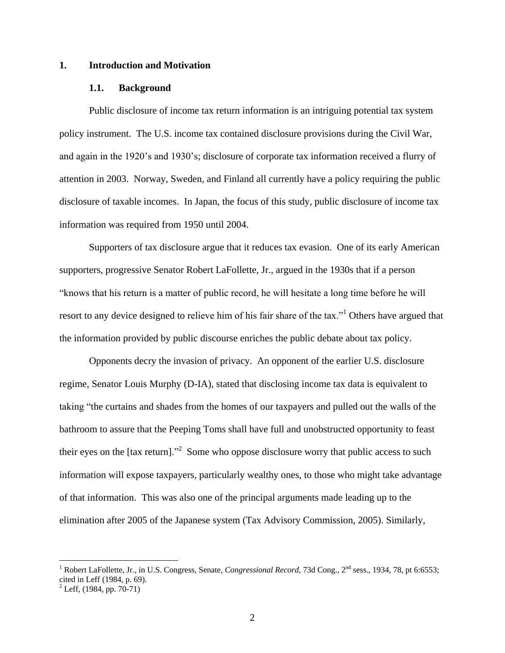# **1. Introduction and Motivation**

#### **1.1. Background**

Public disclosure of income tax return information is an intriguing potential tax system policy instrument. The U.S. income tax contained disclosure provisions during the Civil War, and again in the 1920's and 1930's; disclosure of corporate tax information received a flurry of attention in 2003. Norway, Sweden, and Finland all currently have a policy requiring the public disclosure of taxable incomes. In Japan, the focus of this study, public disclosure of income tax information was required from 1950 until 2004.

Supporters of tax disclosure argue that it reduces tax evasion. One of its early American supporters, progressive Senator Robert LaFollette, Jr., argued in the 1930s that if a person ―knows that his return is a matter of public record, he will hesitate a long time before he will resort to any device designed to relieve him of his fair share of the tax." Others have argued that the information provided by public discourse enriches the public debate about tax policy.

Opponents decry the invasion of privacy. An opponent of the earlier U.S. disclosure regime, Senator Louis Murphy (D-IA), stated that disclosing income tax data is equivalent to taking "the curtains and shades from the homes of our taxpayers and pulled out the walls of the bathroom to assure that the Peeping Toms shall have full and unobstructed opportunity to feast their eyes on the  $[\text{tax return}]$ .<sup>2</sup> Some who oppose disclosure worry that public access to such information will expose taxpayers, particularly wealthy ones, to those who might take advantage of that information. This was also one of the principal arguments made leading up to the elimination after 2005 of the Japanese system (Tax Advisory Commission, 2005). Similarly,

<sup>&</sup>lt;sup>1</sup> Robert LaFollette, Jr., in U.S. Congress, Senate, *Congressional Record*, 73d Cong., 2<sup>nd</sup> sess., 1934, 78, pt 6:6553; cited in Leff (1984, p. 69).

 $^{2}$  Leff, (1984, pp. 70-71)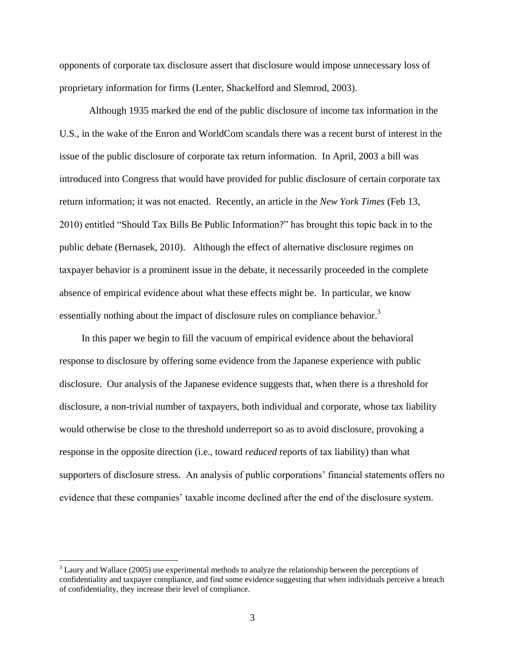opponents of corporate tax disclosure assert that disclosure would impose unnecessary loss of proprietary information for firms (Lenter, Shackelford and Slemrod, 2003).

Although 1935 marked the end of the public disclosure of income tax information in the U.S., in the wake of the Enron and WorldCom scandals there was a recent burst of interest in the issue of the public disclosure of corporate tax return information. In April, 2003 a bill was introduced into Congress that would have provided for public disclosure of certain corporate tax return information; it was not enacted. Recently, an article in the *New York Times* (Feb 13, 2010) entitled "Should Tax Bills Be Public Information?" has brought this topic back in to the public debate (Bernasek, 2010). Although the effect of alternative disclosure regimes on taxpayer behavior is a prominent issue in the debate, it necessarily proceeded in the complete absence of empirical evidence about what these effects might be. In particular, we know essentially nothing about the impact of disclosure rules on compliance behavior.<sup>3</sup>

In this paper we begin to fill the vacuum of empirical evidence about the behavioral response to disclosure by offering some evidence from the Japanese experience with public disclosure. Our analysis of the Japanese evidence suggests that, when there is a threshold for disclosure, a non-trivial number of taxpayers, both individual and corporate, whose tax liability would otherwise be close to the threshold underreport so as to avoid disclosure, provoking a response in the opposite direction (i.e., toward *reduced* reports of tax liability) than what supporters of disclosure stress. An analysis of public corporations' financial statements offers no evidence that these companies' taxable income declined after the end of the disclosure system.

<sup>&</sup>lt;sup>3</sup> Laury and Wallace (2005) use experimental methods to analyze the relationship between the perceptions of confidentiality and taxpayer compliance, and find some evidence suggesting that when individuals perceive a breach of confidentiality, they increase their level of compliance.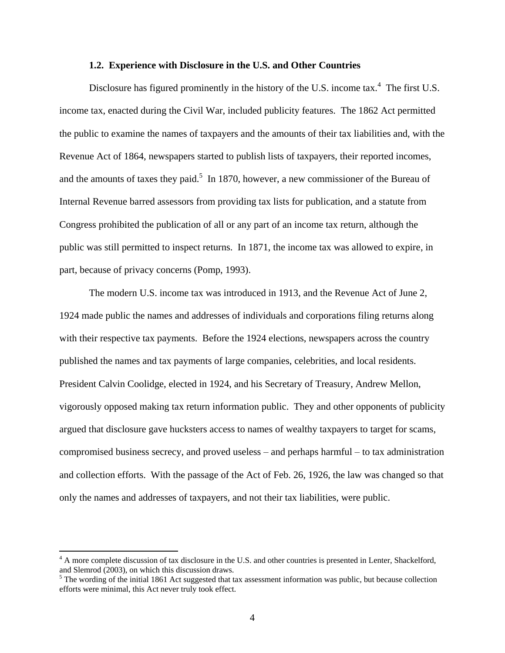#### **1.2. Experience with Disclosure in the U.S. and Other Countries**

Disclosure has figured prominently in the history of the U.S. income tax. $4$  The first U.S. income tax, enacted during the Civil War, included publicity features. The 1862 Act permitted the public to examine the names of taxpayers and the amounts of their tax liabilities and, with the Revenue Act of 1864, newspapers started to publish lists of taxpayers, their reported incomes, and the amounts of taxes they paid.<sup>5</sup> In 1870, however, a new commissioner of the Bureau of Internal Revenue barred assessors from providing tax lists for publication, and a statute from Congress prohibited the publication of all or any part of an income tax return, although the public was still permitted to inspect returns. In 1871, the income tax was allowed to expire, in part, because of privacy concerns (Pomp, 1993).

The modern U.S. income tax was introduced in 1913, and the Revenue Act of June 2, 1924 made public the names and addresses of individuals and corporations filing returns along with their respective tax payments. Before the 1924 elections, newspapers across the country published the names and tax payments of large companies, celebrities, and local residents. President Calvin Coolidge, elected in 1924, and his Secretary of Treasury, Andrew Mellon, vigorously opposed making tax return information public. They and other opponents of publicity argued that disclosure gave hucksters access to names of wealthy taxpayers to target for scams, compromised business secrecy, and proved useless – and perhaps harmful – to tax administration and collection efforts. With the passage of the Act of Feb. 26, 1926, the law was changed so that only the names and addresses of taxpayers, and not their tax liabilities, were public.

 $4 \text{ A}$  more complete discussion of tax disclosure in the U.S. and other countries is presented in Lenter, Shackelford, and Slemrod (2003), on which this discussion draws.

<sup>&</sup>lt;sup>5</sup> The wording of the initial 1861 Act suggested that tax assessment information was public, but because collection efforts were minimal, this Act never truly took effect.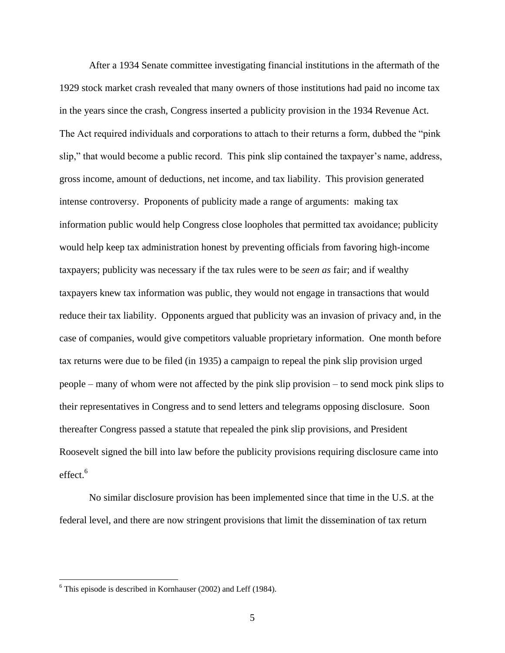After a 1934 Senate committee investigating financial institutions in the aftermath of the 1929 stock market crash revealed that many owners of those institutions had paid no income tax in the years since the crash, Congress inserted a publicity provision in the 1934 Revenue Act. The Act required individuals and corporations to attach to their returns a form, dubbed the "pink" slip," that would become a public record. This pink slip contained the taxpayer's name, address, gross income, amount of deductions, net income, and tax liability. This provision generated intense controversy. Proponents of publicity made a range of arguments: making tax information public would help Congress close loopholes that permitted tax avoidance; publicity would help keep tax administration honest by preventing officials from favoring high-income taxpayers; publicity was necessary if the tax rules were to be *seen as* fair; and if wealthy taxpayers knew tax information was public, they would not engage in transactions that would reduce their tax liability. Opponents argued that publicity was an invasion of privacy and, in the case of companies, would give competitors valuable proprietary information. One month before tax returns were due to be filed (in 1935) a campaign to repeal the pink slip provision urged people – many of whom were not affected by the pink slip provision – to send mock pink slips to their representatives in Congress and to send letters and telegrams opposing disclosure. Soon thereafter Congress passed a statute that repealed the pink slip provisions, and President Roosevelt signed the bill into law before the publicity provisions requiring disclosure came into effect. $^6$ 

No similar disclosure provision has been implemented since that time in the U.S. at the federal level, and there are now stringent provisions that limit the dissemination of tax return

 $6$  This episode is described in Kornhauser (2002) and Leff (1984).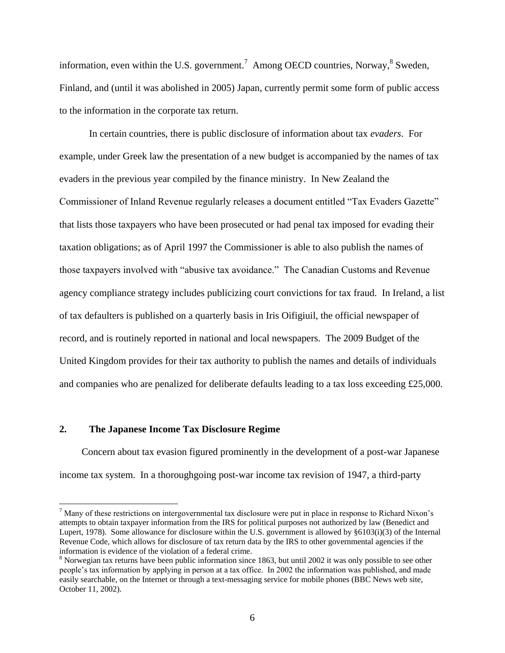information, even within the U.S. government.<sup>7</sup> Among OECD countries, Norway,  $8$  Sweden, Finland, and (until it was abolished in 2005) Japan, currently permit some form of public access to the information in the corporate tax return.

In certain countries, there is public disclosure of information about tax *evaders*. For example, under Greek law the presentation of a new budget is accompanied by the names of tax evaders in the previous year compiled by the finance ministry. In New Zealand the Commissioner of Inland Revenue regularly releases a document entitled "Tax Evaders Gazette" that lists those taxpayers who have been prosecuted or had penal tax imposed for evading their taxation obligations; as of April 1997 the Commissioner is able to also publish the names of those taxpayers involved with "abusive tax avoidance." The Canadian Customs and Revenue agency compliance strategy includes publicizing court convictions for tax fraud. In Ireland, a list of tax defaulters is published on a quarterly basis in Iris Oifigiuil, the official newspaper of record, and is routinely reported in national and local newspapers. The 2009 Budget of the United Kingdom provides for their tax authority to publish the names and details of individuals and companies who are penalized for deliberate defaults leading to a tax loss exceeding £25,000.

# **2. The Japanese Income Tax Disclosure Regime**

 $\overline{a}$ 

Concern about tax evasion figured prominently in the development of a post-war Japanese income tax system. In a thoroughgoing post-war income tax revision of 1947, a third-party

 $<sup>7</sup>$  Many of these restrictions on intergovernmental tax disclosure were put in place in response to Richard Nixon's</sup> attempts to obtain taxpayer information from the IRS for political purposes not authorized by law (Benedict and Lupert, 1978). Some allowance for disclosure within the U.S. government is allowed by §6103(i)(3) of the Internal Revenue Code, which allows for disclosure of tax return data by the IRS to other governmental agencies if the information is evidence of the violation of a federal crime.

<sup>&</sup>lt;sup>8</sup> Norwegian tax returns have been public information since 1863, but until 2002 it was only possible to see other people's tax information by applying in person at a tax office. In 2002 the information was published, and made easily searchable, on the Internet or through a text-messaging service for mobile phones (BBC News web site, October 11, 2002).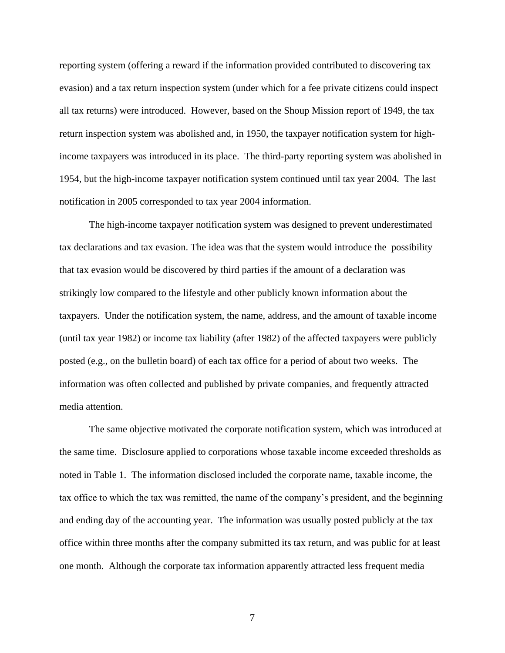reporting system (offering a reward if the information provided contributed to discovering tax evasion) and a tax return inspection system (under which for a fee private citizens could inspect all tax returns) were introduced. However, based on the Shoup Mission report of 1949, the tax return inspection system was abolished and, in 1950, the taxpayer notification system for highincome taxpayers was introduced in its place. The third-party reporting system was abolished in 1954, but the high-income taxpayer notification system continued until tax year 2004. The last notification in 2005 corresponded to tax year 2004 information.

The high-income taxpayer notification system was designed to prevent underestimated tax declarations and tax evasion. The idea was that the system would introduce the possibility that tax evasion would be discovered by third parties if the amount of a declaration was strikingly low compared to the lifestyle and other publicly known information about the taxpayers. Under the notification system, the name, address, and the amount of taxable income (until tax year 1982) or income tax liability (after 1982) of the affected taxpayers were publicly posted (e.g., on the bulletin board) of each tax office for a period of about two weeks. The information was often collected and published by private companies, and frequently attracted media attention.

The same objective motivated the corporate notification system, which was introduced at the same time. Disclosure applied to corporations whose taxable income exceeded thresholds as noted in Table 1. The information disclosed included the corporate name, taxable income, the tax office to which the tax was remitted, the name of the company's president, and the beginning and ending day of the accounting year. The information was usually posted publicly at the tax office within three months after the company submitted its tax return, and was public for at least one month. Although the corporate tax information apparently attracted less frequent media

7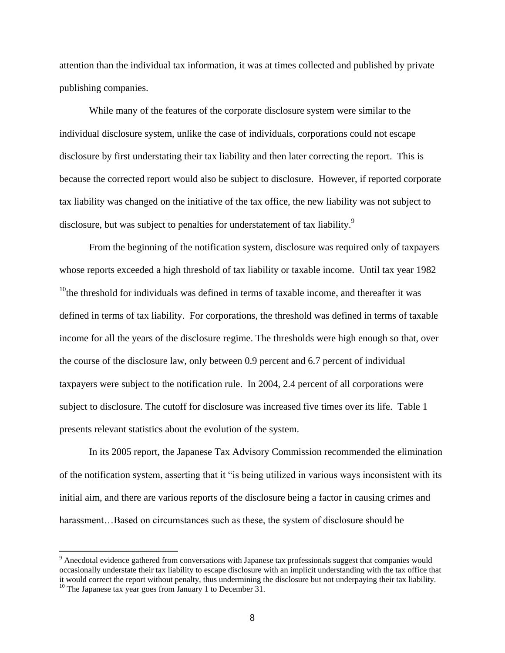attention than the individual tax information, it was at times collected and published by private publishing companies.

While many of the features of the corporate disclosure system were similar to the individual disclosure system, unlike the case of individuals, corporations could not escape disclosure by first understating their tax liability and then later correcting the report. This is because the corrected report would also be subject to disclosure. However, if reported corporate tax liability was changed on the initiative of the tax office, the new liability was not subject to disclosure, but was subject to penalties for understatement of tax liability.<sup>9</sup>

From the beginning of the notification system, disclosure was required only of taxpayers whose reports exceeded a high threshold of tax liability or taxable income. Until tax year 1982  $10$ <sup>10</sup>the threshold for individuals was defined in terms of taxable income, and thereafter it was defined in terms of tax liability. For corporations, the threshold was defined in terms of taxable income for all the years of the disclosure regime. The thresholds were high enough so that, over the course of the disclosure law, only between 0.9 percent and 6.7 percent of individual taxpayers were subject to the notification rule. In 2004, 2.4 percent of all corporations were subject to disclosure. The cutoff for disclosure was increased five times over its life. Table 1 presents relevant statistics about the evolution of the system.

In its 2005 report, the Japanese Tax Advisory Commission recommended the elimination of the notification system, asserting that it "is being utilized in various ways inconsistent with its initial aim, and there are various reports of the disclosure being a factor in causing crimes and harassment...Based on circumstances such as these, the system of disclosure should be

<sup>&</sup>lt;sup>9</sup> Anecdotal evidence gathered from conversations with Japanese tax professionals suggest that companies would occasionally understate their tax liability to escape disclosure with an implicit understanding with the tax office that it would correct the report without penalty, thus undermining the disclosure but not underpaying their tax liability.

 $10$  The Japanese tax year goes from January 1 to December 31.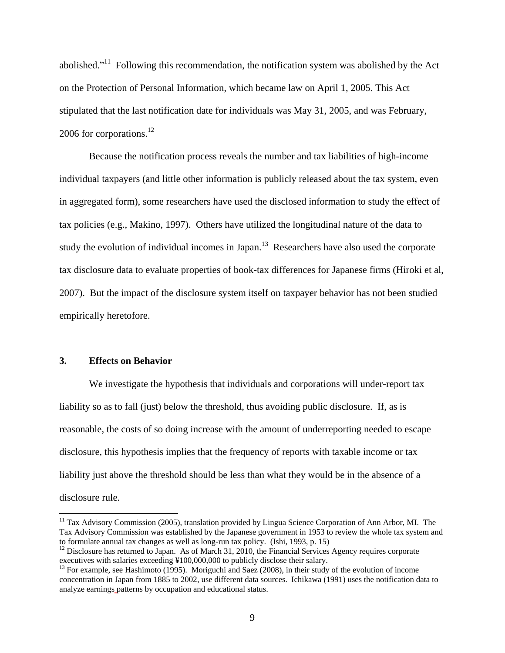abolished."<sup>11</sup> Following this recommendation, the notification system was abolished by the Act on the Protection of Personal Information, which became law on April 1, 2005. This Act stipulated that the last notification date for individuals was May 31, 2005, and was February, 2006 for corporations.<sup>12</sup>

Because the notification process reveals the number and tax liabilities of high-income individual taxpayers (and little other information is publicly released about the tax system, even in aggregated form), some researchers have used the disclosed information to study the effect of tax policies (e.g., Makino, 1997). Others have utilized the longitudinal nature of the data to study the evolution of individual incomes in Japan.<sup>13</sup> Researchers have also used the corporate tax disclosure data to evaluate properties of book-tax differences for Japanese firms (Hiroki et al, 2007). But the impact of the disclosure system itself on taxpayer behavior has not been studied empirically heretofore.

# **3. Effects on Behavior**

 $\overline{a}$ 

We investigate the hypothesis that individuals and corporations will under-report tax liability so as to fall (just) below the threshold, thus avoiding public disclosure. If, as is reasonable, the costs of so doing increase with the amount of underreporting needed to escape disclosure, this hypothesis implies that the frequency of reports with taxable income or tax liability just above the threshold should be less than what they would be in the absence of a disclosure rule.

 $11$  Tax Advisory Commission (2005), translation provided by Lingua Science Corporation of Ann Arbor, MI. The Tax Advisory Commission was established by the Japanese government in 1953 to review the whole tax system and to formulate annual tax changes as well as long-run tax policy. (Ishi, 1993, p. 15)

 $12$  Disclosure has returned to Japan. As of March 31, 2010, the Financial Services Agency requires corporate executives with salaries exceeding ¥100,000,000 to publicly disclose their salary.

 $13$  For example, see Hashimoto (1995). Moriguchi and Saez (2008), in their study of the evolution of income concentration in Japan from 1885 to 2002, use different data sources. Ichikawa (1991) uses the notification data to analyze earnings patterns by occupation and educational status.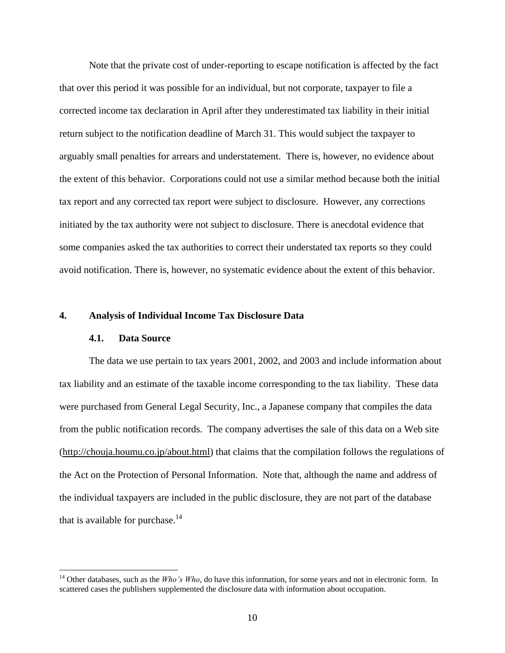Note that the private cost of under-reporting to escape notification is affected by the fact that over this period it was possible for an individual, but not corporate, taxpayer to file a corrected income tax declaration in April after they underestimated tax liability in their initial return subject to the notification deadline of March 31. This would subject the taxpayer to arguably small penalties for arrears and understatement. There is, however, no evidence about the extent of this behavior. Corporations could not use a similar method because both the initial tax report and any corrected tax report were subject to disclosure. However, any corrections initiated by the tax authority were not subject to disclosure. There is anecdotal evidence that some companies asked the tax authorities to correct their understated tax reports so they could avoid notification. There is, however, no systematic evidence about the extent of this behavior.

#### **4. Analysis of Individual Income Tax Disclosure Data**

#### **4.1. Data Source**

 $\overline{a}$ 

The data we use pertain to tax years 2001, 2002, and 2003 and include information about tax liability and an estimate of the taxable income corresponding to the tax liability. These data were purchased from General Legal Security, Inc., a Japanese company that compiles the data from the public notification records. The company advertises the sale of this data on a Web site [\(http://chouja.houmu.co.jp/about.html\)](http://chouja.houmu.co.jp/about.html) that claims that the compilation follows the regulations of the Act on the Protection of Personal Information. Note that, although the name and address of the individual taxpayers are included in the public disclosure, they are not part of the database that is available for purchase. $14$ 

<sup>&</sup>lt;sup>14</sup> Other databases, such as the *Who's Who*, do have this information, for some years and not in electronic form. In scattered cases the publishers supplemented the disclosure data with information about occupation.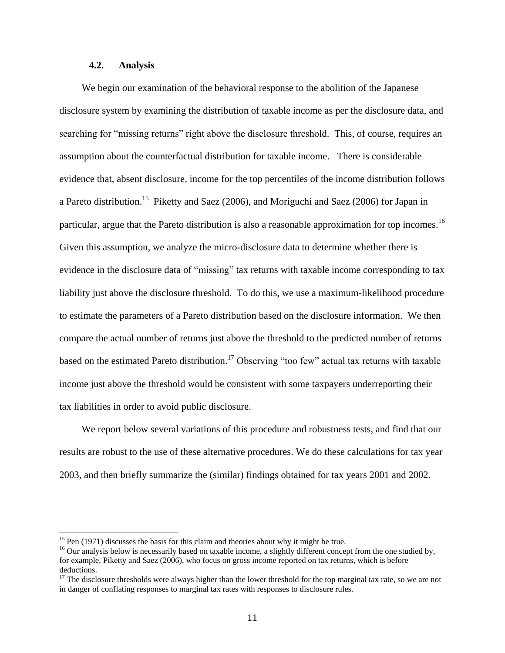# **4.2. Analysis**

We begin our examination of the behavioral response to the abolition of the Japanese disclosure system by examining the distribution of taxable income as per the disclosure data, and searching for "missing returns" right above the disclosure threshold. This, of course, requires an assumption about the counterfactual distribution for taxable income. There is considerable evidence that, absent disclosure, income for the top percentiles of the income distribution follows a Pareto distribution.<sup>15</sup> Piketty and Saez (2006), and Moriguchi and Saez (2006) for Japan in particular, argue that the Pareto distribution is also a reasonable approximation for top incomes.<sup>16</sup> Given this assumption, we analyze the micro-disclosure data to determine whether there is evidence in the disclosure data of "missing" tax returns with taxable income corresponding to tax liability just above the disclosure threshold. To do this, we use a maximum-likelihood procedure to estimate the parameters of a Pareto distribution based on the disclosure information. We then compare the actual number of returns just above the threshold to the predicted number of returns based on the estimated Pareto distribution.<sup>17</sup> Observing "too few" actual tax returns with taxable income just above the threshold would be consistent with some taxpayers underreporting their tax liabilities in order to avoid public disclosure.

We report below several variations of this procedure and robustness tests, and find that our results are robust to the use of these alternative procedures. We do these calculations for tax year 2003, and then briefly summarize the (similar) findings obtained for tax years 2001 and 2002.

 $15$  Pen (1971) discusses the basis for this claim and theories about why it might be true.

 $16$  Our analysis below is necessarily based on taxable income, a slightly different concept from the one studied by, for example, Piketty and Saez (2006), who focus on gross income reported on tax returns, which is before deductions.

<sup>&</sup>lt;sup>17</sup> The disclosure thresholds were always higher than the lower threshold for the top marginal tax rate, so we are not in danger of conflating responses to marginal tax rates with responses to disclosure rules.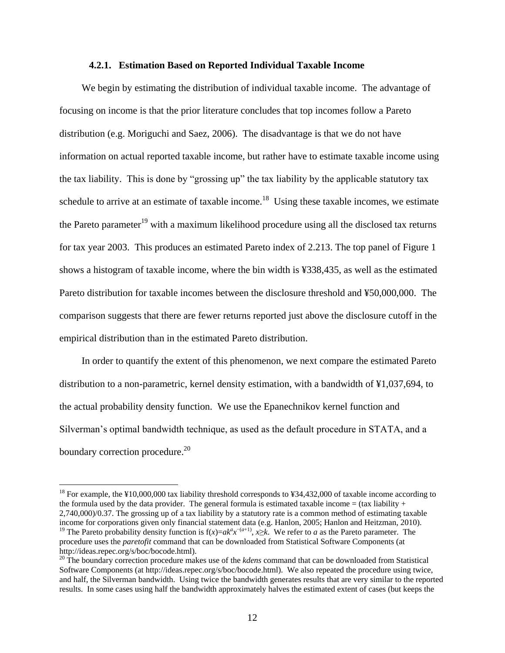#### **4.2.1. Estimation Based on Reported Individual Taxable Income**

We begin by estimating the distribution of individual taxable income. The advantage of focusing on income is that the prior literature concludes that top incomes follow a Pareto distribution (e.g. Moriguchi and Saez, 2006). The disadvantage is that we do not have information on actual reported taxable income, but rather have to estimate taxable income using the tax liability. This is done by "grossing up" the tax liability by the applicable statutory tax schedule to arrive at an estimate of taxable income.<sup>18</sup> Using these taxable incomes, we estimate the Pareto parameter<sup>19</sup> with a maximum likelihood procedure using all the disclosed tax returns for tax year 2003. This produces an estimated Pareto index of 2.213. The top panel of Figure 1 shows a histogram of taxable income, where the bin width is ¥338,435, as well as the estimated Pareto distribution for taxable incomes between the disclosure threshold and ¥50,000,000. The comparison suggests that there are fewer returns reported just above the disclosure cutoff in the empirical distribution than in the estimated Pareto distribution.

In order to quantify the extent of this phenomenon, we next compare the estimated Pareto distribution to a non-parametric, kernel density estimation, with a bandwidth of ¥1,037,694, to the actual probability density function. We use the Epanechnikov kernel function and Silverman's optimal bandwidth technique, as used as the default procedure in STATA, and a boundary correction procedure.<sup>20</sup>

<sup>&</sup>lt;sup>18</sup> For example, the ¥10,000,000 tax liability threshold corresponds to ¥34,432,000 of taxable income according to the formula used by the data provider. The general formula is estimated taxable income  $=$  (tax liability + 2,740,000)/0.37. The grossing up of a tax liability by a statutory rate is a common method of estimating taxable income for corporations given only financial statement data (e.g. Hanlon, 2005; Hanlon and Heitzman, 2010).

<sup>&</sup>lt;sup>19</sup> The Pareto probability density function is  $f(x)=ak^a x^{-(a+1)}$ ,  $x\ge k$ . We refer to *a* as the Pareto parameter. The procedure uses the *paretofit* command that can be downloaded from Statistical Software Components (at http://ideas.repec.org/s/boc/bocode.html).

<sup>20</sup> The boundary correction procedure makes use of the *kdens* command that can be downloaded from Statistical Software Components (at http://ideas.repec.org/s/boc/bocode.html). We also repeated the procedure using twice, and half, the Silverman bandwidth. Using twice the bandwidth generates results that are very similar to the reported results. In some cases using half the bandwidth approximately halves the estimated extent of cases (but keeps the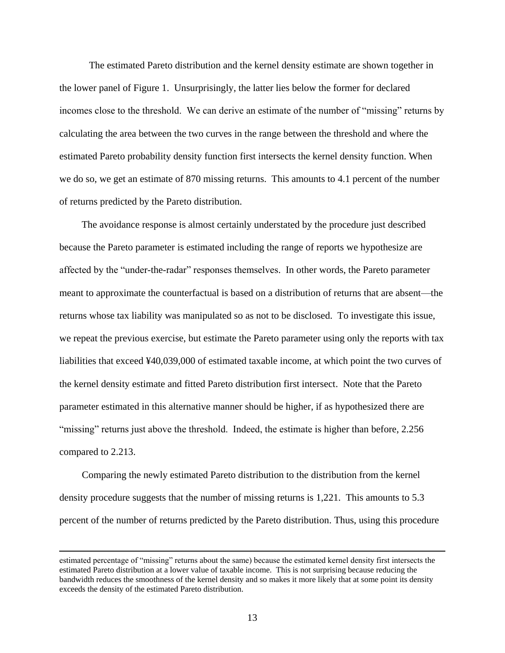The estimated Pareto distribution and the kernel density estimate are shown together in the lower panel of Figure 1. Unsurprisingly, the latter lies below the former for declared incomes close to the threshold. We can derive an estimate of the number of "missing" returns by calculating the area between the two curves in the range between the threshold and where the estimated Pareto probability density function first intersects the kernel density function. When we do so, we get an estimate of 870 missing returns. This amounts to 4.1 percent of the number of returns predicted by the Pareto distribution.

The avoidance response is almost certainly understated by the procedure just described because the Pareto parameter is estimated including the range of reports we hypothesize are affected by the "under-the-radar" responses themselves. In other words, the Pareto parameter meant to approximate the counterfactual is based on a distribution of returns that are absent—the returns whose tax liability was manipulated so as not to be disclosed. To investigate this issue, we repeat the previous exercise, but estimate the Pareto parameter using only the reports with tax liabilities that exceed ¥40,039,000 of estimated taxable income, at which point the two curves of the kernel density estimate and fitted Pareto distribution first intersect. Note that the Pareto parameter estimated in this alternative manner should be higher, if as hypothesized there are "missing" returns just above the threshold. Indeed, the estimate is higher than before, 2.256 compared to 2.213.

Comparing the newly estimated Pareto distribution to the distribution from the kernel density procedure suggests that the number of missing returns is 1,221. This amounts to 5.3 percent of the number of returns predicted by the Pareto distribution. Thus, using this procedure

estimated percentage of "missing" returns about the same) because the estimated kernel density first intersects the estimated Pareto distribution at a lower value of taxable income. This is not surprising because reducing the bandwidth reduces the smoothness of the kernel density and so makes it more likely that at some point its density exceeds the density of the estimated Pareto distribution.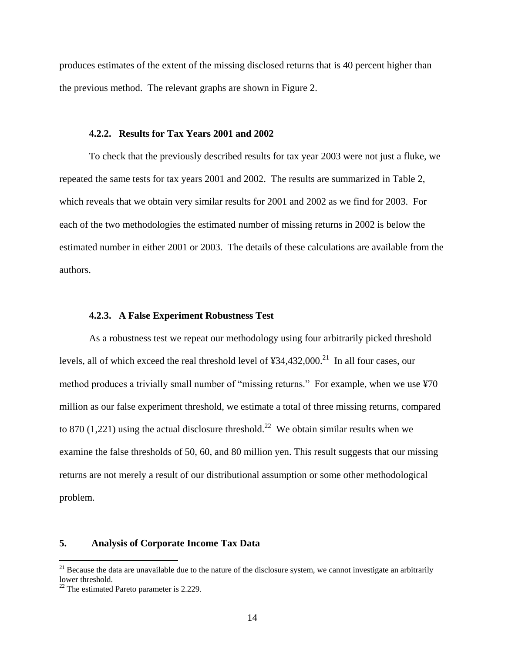produces estimates of the extent of the missing disclosed returns that is 40 percent higher than the previous method. The relevant graphs are shown in Figure 2.

#### **4.2.2. Results for Tax Years 2001 and 2002**

To check that the previously described results for tax year 2003 were not just a fluke, we repeated the same tests for tax years 2001 and 2002. The results are summarized in Table 2, which reveals that we obtain very similar results for 2001 and 2002 as we find for 2003. For each of the two methodologies the estimated number of missing returns in 2002 is below the estimated number in either 2001 or 2003. The details of these calculations are available from the authors.

#### **4.2.3. A False Experiment Robustness Test**

As a robustness test we repeat our methodology using four arbitrarily picked threshold levels, all of which exceed the real threshold level of  $434,432,000$ .<sup>21</sup> In all four cases, our method produces a trivially small number of "missing returns." For example, when we use ¥70 million as our false experiment threshold, we estimate a total of three missing returns, compared to 870 (1,221) using the actual disclosure threshold.<sup>22</sup> We obtain similar results when we examine the false thresholds of 50, 60, and 80 million yen. This result suggests that our missing returns are not merely a result of our distributional assumption or some other methodological problem.

### **5. Analysis of Corporate Income Tax Data**

 $21$  Because the data are unavailable due to the nature of the disclosure system, we cannot investigate an arbitrarily lower threshold.

 $22$  The estimated Pareto parameter is 2.229.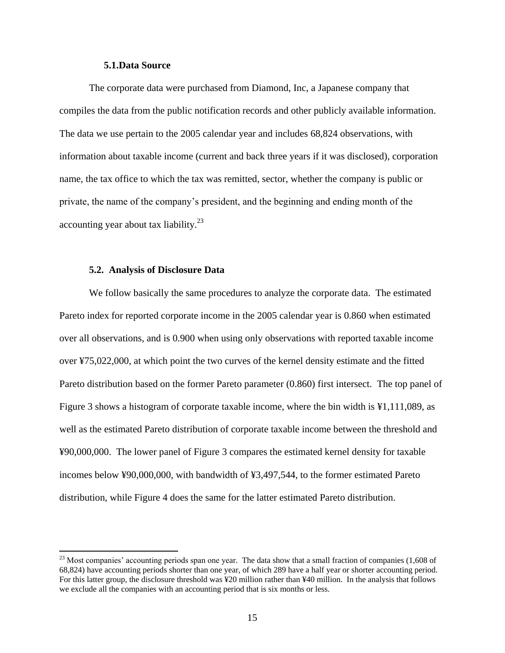## **5.1.Data Source**

The corporate data were purchased from Diamond, Inc, a Japanese company that compiles the data from the public notification records and other publicly available information. The data we use pertain to the 2005 calendar year and includes 68,824 observations, with information about taxable income (current and back three years if it was disclosed), corporation name, the tax office to which the tax was remitted, sector, whether the company is public or private, the name of the company's president, and the beginning and ending month of the accounting year about tax liability. $^{23}$ 

#### **5.2. Analysis of Disclosure Data**

 $\overline{a}$ 

We follow basically the same procedures to analyze the corporate data. The estimated Pareto index for reported corporate income in the 2005 calendar year is 0.860 when estimated over all observations, and is 0.900 when using only observations with reported taxable income over ¥75,022,000, at which point the two curves of the kernel density estimate and the fitted Pareto distribution based on the former Pareto parameter (0.860) first intersect. The top panel of Figure 3 shows a histogram of corporate taxable income, where the bin width is ¥1,111,089, as well as the estimated Pareto distribution of corporate taxable income between the threshold and ¥90,000,000. The lower panel of Figure 3 compares the estimated kernel density for taxable incomes below ¥90,000,000, with bandwidth of ¥3,497,544, to the former estimated Pareto distribution, while Figure 4 does the same for the latter estimated Pareto distribution.

 $^{23}$  Most companies' accounting periods span one year. The data show that a small fraction of companies (1,608 of 68,824) have accounting periods shorter than one year, of which 289 have a half year or shorter accounting period. For this latter group, the disclosure threshold was ¥20 million rather than ¥40 million. In the analysis that follows we exclude all the companies with an accounting period that is six months or less.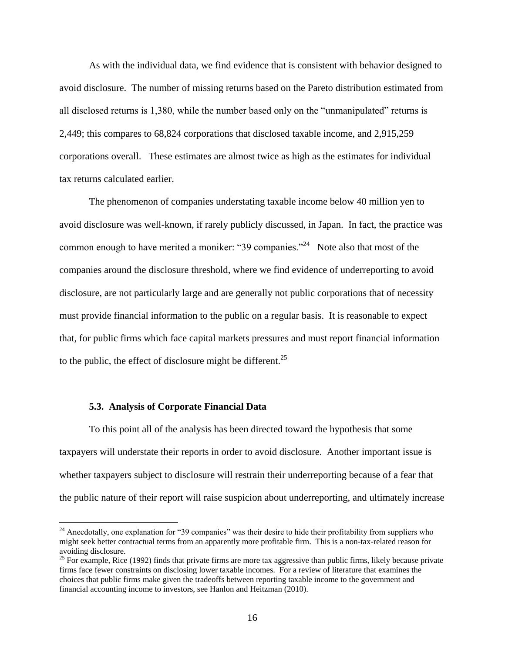As with the individual data, we find evidence that is consistent with behavior designed to avoid disclosure. The number of missing returns based on the Pareto distribution estimated from all disclosed returns is 1,380, while the number based only on the "unmanipulated" returns is 2,449; this compares to 68,824 corporations that disclosed taxable income, and 2,915,259 corporations overall. These estimates are almost twice as high as the estimates for individual tax returns calculated earlier.

The phenomenon of companies understating taxable income below 40 million yen to avoid disclosure was well-known, if rarely publicly discussed, in Japan. In fact, the practice was common enough to have merited a moniker: "39 companies."<sup>24</sup> Note also that most of the companies around the disclosure threshold, where we find evidence of underreporting to avoid disclosure, are not particularly large and are generally not public corporations that of necessity must provide financial information to the public on a regular basis. It is reasonable to expect that, for public firms which face capital markets pressures and must report financial information to the public, the effect of disclosure might be different.<sup>25</sup>

# **5.3. Analysis of Corporate Financial Data**

 $\overline{a}$ 

To this point all of the analysis has been directed toward the hypothesis that some taxpayers will understate their reports in order to avoid disclosure. Another important issue is whether taxpayers subject to disclosure will restrain their underreporting because of a fear that the public nature of their report will raise suspicion about underreporting, and ultimately increase

 $24$  Anecdotally, one explanation for "39 companies" was their desire to hide their profitability from suppliers who might seek better contractual terms from an apparently more profitable firm. This is a non-tax-related reason for avoiding disclosure.

<sup>&</sup>lt;sup>25</sup> For example, Rice (1992) finds that private firms are more tax aggressive than public firms, likely because private firms face fewer constraints on disclosing lower taxable incomes. For a review of literature that examines the choices that public firms make given the tradeoffs between reporting taxable income to the government and financial accounting income to investors, see Hanlon and Heitzman (2010).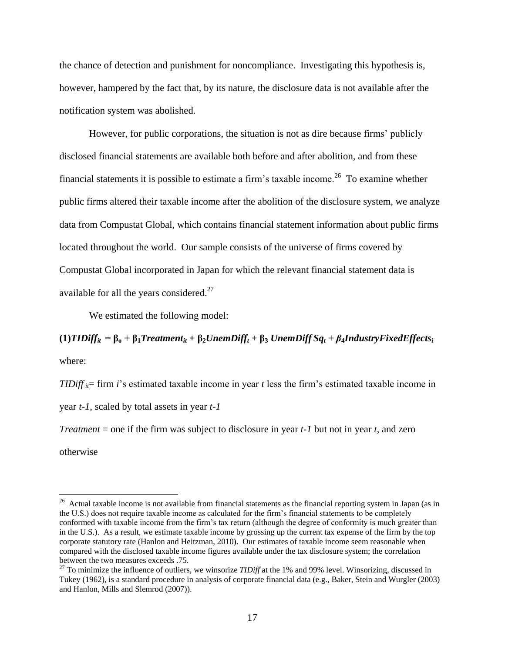the chance of detection and punishment for noncompliance. Investigating this hypothesis is, however, hampered by the fact that, by its nature, the disclosure data is not available after the notification system was abolished.

However, for public corporations, the situation is not as dire because firms' publicly disclosed financial statements are available both before and after abolition, and from these financial statements it is possible to estimate a firm's taxable income.<sup>26</sup> To examine whether public firms altered their taxable income after the abolition of the disclosure system, we analyze data from Compustat Global, which contains financial statement information about public firms located throughout the world. Our sample consists of the universe of firms covered by Compustat Global incorporated in Japan for which the relevant financial statement data is available for all the years considered. $27$ 

We estimated the following model:

(1) TIDiff<sub>it</sub> =  $\beta_0 + \beta_1 T$ reatment<sub>it</sub> +  $\beta_2$ UnemDiff<sub>t</sub> +  $\beta_3$  UnemDiff Sq<sub>t</sub> +  $\beta_4$ IndustryFixedEffects<sub>i</sub> where:

*TIDiff*  $_{ii}$ = firm *i*'s estimated taxable income in year *t* less the firm's estimated taxable income in

year *t-1*, scaled by total assets in year *t-1*

*Treatment* = one if the firm was subject to disclosure in year *t-1* but not in year *t*, and zero

otherwise

<sup>&</sup>lt;sup>26</sup> Actual taxable income is not available from financial statements as the financial reporting system in Japan (as in the U.S.) does not require taxable income as calculated for the firm's financial statements to be completely conformed with taxable income from the firm's tax return (although the degree of conformity is much greater than in the U.S.). As a result, we estimate taxable income by grossing up the current tax expense of the firm by the top corporate statutory rate (Hanlon and Heitzman, 2010). Our estimates of taxable income seem reasonable when compared with the disclosed taxable income figures available under the tax disclosure system; the correlation between the two measures exceeds .75.

<sup>27</sup> To minimize the influence of outliers, we winsorize *TIDiff* at the 1% and 99% level. Winsorizing, discussed in Tukey (1962), is a standard procedure in analysis of corporate financial data (e.g., Baker, Stein and Wurgler (2003) and Hanlon, Mills and Slemrod (2007)).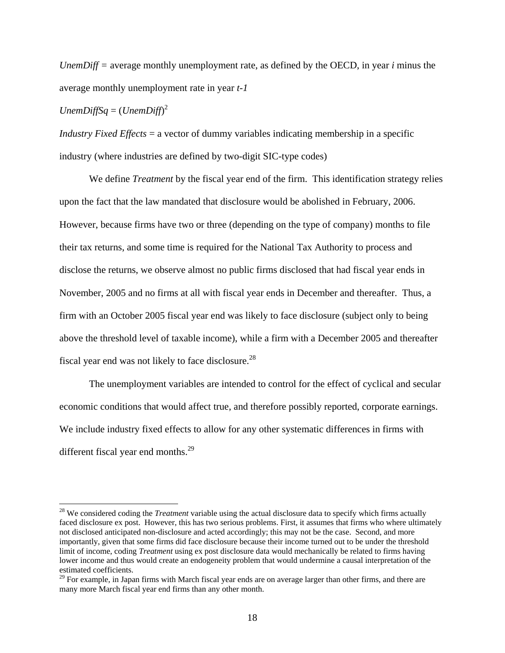*UnemDiff =* average monthly unemployment rate, as defined by the OECD, in year *i* minus the average monthly unemployment rate in year *t-1*

 $UnembiffSq = (Unembiff)^2$ 

 $\overline{a}$ 

*Industry Fixed Effects* = a vector of dummy variables indicating membership in a specific industry (where industries are defined by two-digit SIC-type codes)

We define *Treatment* by the fiscal year end of the firm. This identification strategy relies upon the fact that the law mandated that disclosure would be abolished in February, 2006. However, because firms have two or three (depending on the type of company) months to file their tax returns, and some time is required for the National Tax Authority to process and disclose the returns, we observe almost no public firms disclosed that had fiscal year ends in November, 2005 and no firms at all with fiscal year ends in December and thereafter. Thus, a firm with an October 2005 fiscal year end was likely to face disclosure (subject only to being above the threshold level of taxable income), while a firm with a December 2005 and thereafter fiscal year end was not likely to face disclosure.<sup>28</sup>

The unemployment variables are intended to control for the effect of cyclical and secular economic conditions that would affect true, and therefore possibly reported, corporate earnings. We include industry fixed effects to allow for any other systematic differences in firms with different fiscal year end months. $^{29}$ 

<sup>&</sup>lt;sup>28</sup> We considered coding the *Treatment* variable using the actual disclosure data to specify which firms actually faced disclosure ex post. However, this has two serious problems. First, it assumes that firms who where ultimately not disclosed anticipated non-disclosure and acted accordingly; this may not be the case. Second, and more importantly, given that some firms did face disclosure because their income turned out to be under the threshold limit of income, coding *Treatment* using ex post disclosure data would mechanically be related to firms having lower income and thus would create an endogeneity problem that would undermine a causal interpretation of the estimated coefficients.

<sup>&</sup>lt;sup>29</sup> For example, in Japan firms with March fiscal year ends are on average larger than other firms, and there are many more March fiscal year end firms than any other month.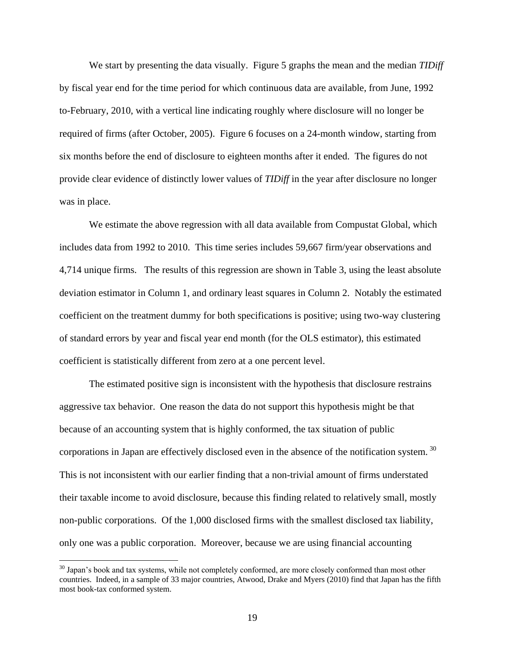We start by presenting the data visually. Figure 5 graphs the mean and the median *TIDiff* by fiscal year end for the time period for which continuous data are available, from June, 1992 to-February, 2010, with a vertical line indicating roughly where disclosure will no longer be required of firms (after October, 2005). Figure 6 focuses on a 24-month window, starting from six months before the end of disclosure to eighteen months after it ended. The figures do not provide clear evidence of distinctly lower values of *TIDiff* in the year after disclosure no longer was in place.

We estimate the above regression with all data available from Compustat Global, which includes data from 1992 to 2010. This time series includes 59,667 firm/year observations and 4,714 unique firms. The results of this regression are shown in Table 3, using the least absolute deviation estimator in Column 1, and ordinary least squares in Column 2. Notably the estimated coefficient on the treatment dummy for both specifications is positive; using two-way clustering of standard errors by year and fiscal year end month (for the OLS estimator), this estimated coefficient is statistically different from zero at a one percent level.

The estimated positive sign is inconsistent with the hypothesis that disclosure restrains aggressive tax behavior. One reason the data do not support this hypothesis might be that because of an accounting system that is highly conformed, the tax situation of public corporations in Japan are effectively disclosed even in the absence of the notification system.  $30$ This is not inconsistent with our earlier finding that a non-trivial amount of firms understated their taxable income to avoid disclosure, because this finding related to relatively small, mostly non-public corporations. Of the 1,000 disclosed firms with the smallest disclosed tax liability, only one was a public corporation. Moreover, because we are using financial accounting

<sup>&</sup>lt;sup>30</sup> Japan's book and tax systems, while not completely conformed, are more closely conformed than most other countries. Indeed, in a sample of 33 major countries, Atwood, Drake and Myers (2010) find that Japan has the fifth most book-tax conformed system.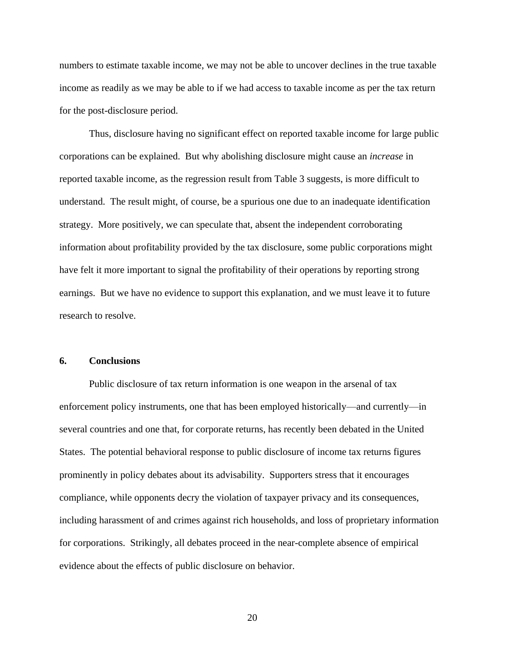numbers to estimate taxable income, we may not be able to uncover declines in the true taxable income as readily as we may be able to if we had access to taxable income as per the tax return for the post-disclosure period.

Thus, disclosure having no significant effect on reported taxable income for large public corporations can be explained. But why abolishing disclosure might cause an *increase* in reported taxable income, as the regression result from Table 3 suggests, is more difficult to understand. The result might, of course, be a spurious one due to an inadequate identification strategy. More positively, we can speculate that, absent the independent corroborating information about profitability provided by the tax disclosure, some public corporations might have felt it more important to signal the profitability of their operations by reporting strong earnings. But we have no evidence to support this explanation, and we must leave it to future research to resolve.

# **6. Conclusions**

Public disclosure of tax return information is one weapon in the arsenal of tax enforcement policy instruments, one that has been employed historically—and currently—in several countries and one that, for corporate returns, has recently been debated in the United States. The potential behavioral response to public disclosure of income tax returns figures prominently in policy debates about its advisability. Supporters stress that it encourages compliance, while opponents decry the violation of taxpayer privacy and its consequences, including harassment of and crimes against rich households, and loss of proprietary information for corporations. Strikingly, all debates proceed in the near-complete absence of empirical evidence about the effects of public disclosure on behavior.

20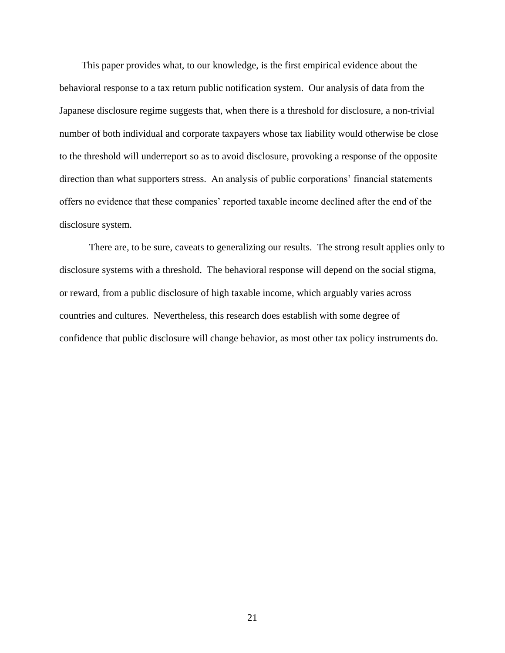This paper provides what, to our knowledge, is the first empirical evidence about the behavioral response to a tax return public notification system. Our analysis of data from the Japanese disclosure regime suggests that, when there is a threshold for disclosure, a non-trivial number of both individual and corporate taxpayers whose tax liability would otherwise be close to the threshold will underreport so as to avoid disclosure, provoking a response of the opposite direction than what supporters stress. An analysis of public corporations' financial statements offers no evidence that these companies' reported taxable income declined after the end of the disclosure system.

There are, to be sure, caveats to generalizing our results. The strong result applies only to disclosure systems with a threshold. The behavioral response will depend on the social stigma, or reward, from a public disclosure of high taxable income, which arguably varies across countries and cultures. Nevertheless, this research does establish with some degree of confidence that public disclosure will change behavior, as most other tax policy instruments do.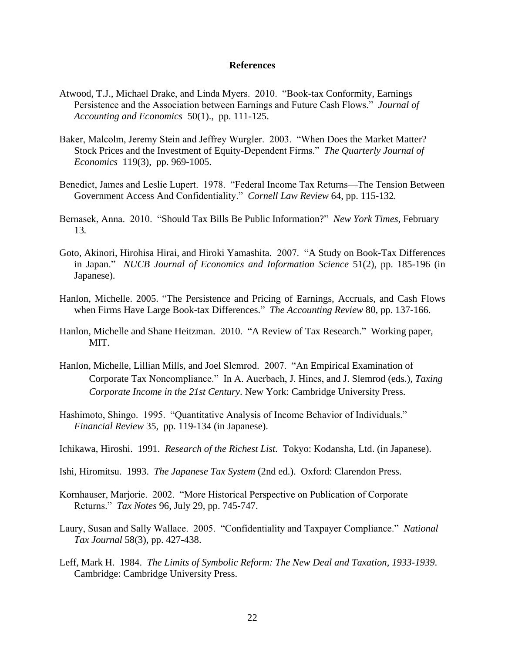### **References**

- Atwood, T.J., Michael Drake, and Linda Myers. 2010. "Book-tax Conformity, Earnings Persistence and the Association between Earnings and Future Cash Flows.‖ *Journal of Accounting and Economics* 50(1)., pp. 111-125.
- Baker, Malcolm, Jeremy Stein and Jeffrey Wurgler. 2003. "When Does the Market Matter? Stock Prices and the Investment of Equity-Dependent Firms." *The Quarterly Journal of Economics* 119(3), pp. 969-1005.
- Benedict, James and Leslie Lupert. 1978. "Federal Income Tax Returns—The Tension Between Government Access And Confidentiality." *Cornell Law Review* 64, pp. 115-132.
- Bernasek, Anna. 2010. "Should Tax Bills Be Public Information?" New York Times, February 13*.*
- Goto, Akinori, Hirohisa Hirai, and Hiroki Yamashita. 2007. "A Study on Book-Tax Differences in Japan.‖ *NUCB Journal of Economics and Information Science* 51(2), pp. 185-196 (in Japanese).
- Hanlon, Michelle. 2005. "The Persistence and Pricing of Earnings, Accruals, and Cash Flows when Firms Have Large Book-tax Differences." *The Accounting Review* 80, pp. 137-166.
- Hanlon, Michelle and Shane Heitzman. 2010. "A Review of Tax Research." Working paper, MIT.
- Hanlon, Michelle, Lillian Mills, and Joel Slemrod. 2007. "An Empirical Examination of Corporate Tax Noncompliance." In A. Auerbach, J. Hines, and J. Slemrod (eds.), *Taxing Corporate Income in the 21st Century*. New York: Cambridge University Press.
- Hashimoto, Shingo. 1995. "Quantitative Analysis of Income Behavior of Individuals." *Financial Review* 35, pp. 119-134 (in Japanese).
- Ichikawa, Hiroshi. 1991. *Research of the Richest List.* Tokyo: Kodansha, Ltd. (in Japanese).
- Ishi, Hiromitsu. 1993. *The Japanese Tax System* (2nd ed.). Oxford: Clarendon Press.
- Kornhauser, Marjorie. 2002. "More Historical Perspective on Publication of Corporate Returns.‖ *Tax Notes* 96, July 29, pp. 745-747.
- Laury, Susan and Sally Wallace. 2005. "Confidentiality and Taxpayer Compliance." *National Tax Journal* 58(3), pp. 427-438.
- Leff, Mark H. 1984. *The Limits of Symbolic Reform: The New Deal and Taxation, 1933-1939*. Cambridge: Cambridge University Press.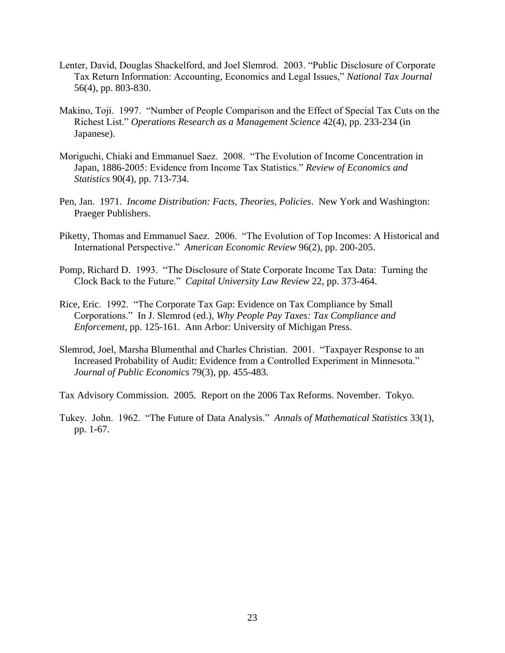- Lenter, David, Douglas Shackelford, and Joel Slemrod. 2003. "Public Disclosure of Corporate Tax Return Information: Accounting, Economics and Legal Issues," *National Tax Journal* 56(4), pp. 803-830.
- Makino, Toji. 1997. "Number of People Comparison and the Effect of Special Tax Cuts on the Richest List.‖ *Operations Research as a Management Science* 42(4), pp. 233-234 (in Japanese).
- Moriguchi, Chiaki and Emmanuel Saez. 2008. "The Evolution of Income Concentration in Japan, 1886-2005: Evidence from Income Tax Statistics." Review of Economics and *Statistics* 90(4), pp. 713-734.
- Pen, Jan. 1971. *Income Distribution: Facts, Theories, Policies*. New York and Washington: Praeger Publishers.
- Piketty, Thomas and Emmanuel Saez. 2006. "The Evolution of Top Incomes: A Historical and International Perspective.‖ *American Economic Review* 96(2), pp. 200-205.
- Pomp, Richard D. 1993. "The Disclosure of State Corporate Income Tax Data: Turning the Clock Back to the Future.‖ *Capital University Law Review* 22, pp. 373-464.
- Rice, Eric. 1992. "The Corporate Tax Gap: Evidence on Tax Compliance by Small Corporations.‖ In J. Slemrod (ed.), *Why People Pay Taxes: Tax Compliance and Enforcement*, pp. 125-161. Ann Arbor: University of Michigan Press.
- Slemrod, Joel, Marsha Blumenthal and Charles Christian. 2001. "Taxpayer Response to an Increased Probability of Audit: Evidence from a Controlled Experiment in Minnesota." *Journal of Public Economics* 79(3), pp. 455-483.

Tax Advisory Commission. 2005. Report on the 2006 Tax Reforms. November. Tokyo.

Tukey. John. 1962. "The Future of Data Analysis." Annals of Mathematical Statistics 33(1), pp. 1-67.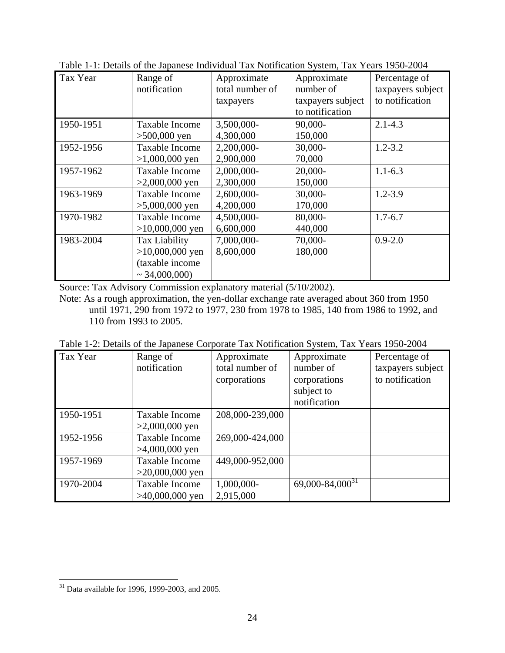| Tax Year  | $\sim$ 1. Details of the supulce of matricean Tan Foundation specific Tan Teams 1980 $\equiv$<br>Range of<br>notification | Approximate<br>total number of<br>taxpayers | Approximate<br>number of<br>taxpayers subject<br>to notification | Percentage of<br>taxpayers subject<br>to notification |
|-----------|---------------------------------------------------------------------------------------------------------------------------|---------------------------------------------|------------------------------------------------------------------|-------------------------------------------------------|
| 1950-1951 | Taxable Income<br>$>500,000$ yen                                                                                          | 3,500,000-<br>4,300,000                     | 90,000-<br>150,000                                               | $2.1 - 4.3$                                           |
| 1952-1956 | Taxable Income<br>$>1,000,000$ yen                                                                                        | 2,200,000-<br>2,900,000                     | 30,000-<br>70,000                                                | $1.2 - 3.2$                                           |
| 1957-1962 | Taxable Income<br>$>2,000,000$ yen                                                                                        | 2,000,000-<br>2,300,000                     | $20,000-$<br>150,000                                             | $1.1 - 6.3$                                           |
| 1963-1969 | Taxable Income<br>$>5,000,000$ yen                                                                                        | 2,600,000-<br>4,200,000                     | 30,000-<br>170,000                                               | $1.2 - 3.9$                                           |
| 1970-1982 | <b>Taxable Income</b><br>$>10,000,000$ yen                                                                                | 4,500,000-<br>6,600,000                     | 80,000-<br>440,000                                               | $1.7 - 6.7$                                           |
| 1983-2004 | Tax Liability<br>$>10,000,000$ yen<br>(taxable income<br>$\sim$ 34,000,000)                                               | 7,000,000-<br>8,600,000                     | 70,000-<br>180,000                                               | $0.9 - 2.0$                                           |

Table 1-1: Details of the Japanese Individual Tax Notification System, Tax Years 1950-2004

Source: Tax Advisory Commission explanatory material (5/10/2002).

Note: As a rough approximation, the yen-dollar exchange rate averaged about 360 from 1950 until 1971, 290 from 1972 to 1977, 230 from 1978 to 1985, 140 from 1986 to 1992, and 110 from 1993 to 2005.

Table 1-2: Details of the Japanese Corporate Tax Notification System, Tax Years 1950-2004

| Tax Year  | Range of<br>notification                  | Approximate<br>total number of<br>corporations | Approximate<br>number of<br>corporations | Percentage of<br>taxpayers subject<br>to notification |
|-----------|-------------------------------------------|------------------------------------------------|------------------------------------------|-------------------------------------------------------|
|           |                                           |                                                | subject to<br>notification               |                                                       |
| 1950-1951 | Taxable Income<br>$>2,000,000$ yen        | 208,000-239,000                                |                                          |                                                       |
| 1952-1956 | <b>Taxable Income</b><br>$>4,000,000$ yen | 269,000-424,000                                |                                          |                                                       |
| 1957-1969 | Taxable Income<br>$>20,000,000$ yen       | 449,000-952,000                                |                                          |                                                       |
| 1970-2004 | Taxable Income<br>$>40,000,000$ yen       | 1,000,000-<br>2,915,000                        | $69,000 - 84,000^{31}$                   |                                                       |

 $31$  Data available for 1996, 1999-2003, and 2005.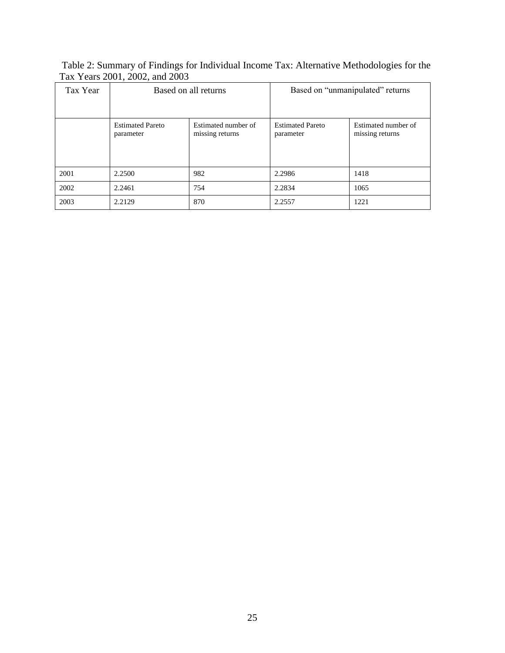Table 2: Summary of Findings for Individual Income Tax: Alternative Methodologies for the Tax Years 2001, 2002, and 2003

| Tax Year | Based on all returns                 |                                        | Based on "unmanipulated" returns     |                                        |  |
|----------|--------------------------------------|----------------------------------------|--------------------------------------|----------------------------------------|--|
|          | <b>Estimated Pareto</b><br>parameter | Estimated number of<br>missing returns | <b>Estimated Pareto</b><br>parameter | Estimated number of<br>missing returns |  |
| 2001     | 2.2500                               | 982                                    | 2.2986                               | 1418                                   |  |
| 2002     | 2.2461                               | 754                                    | 2.2834                               | 1065                                   |  |
| 2003     | 2.2129                               | 870                                    | 2.2557                               | 1221                                   |  |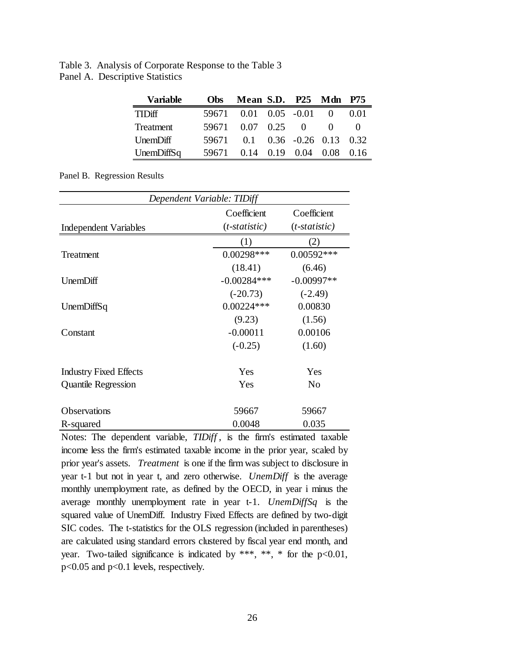Table 3. Analysis of Corporate Response to the Table 3 Panel A. Descriptive Statistics

| <b>Variable</b> | Obs   | Mean S.D. P25 Mdn P75    |                                    |              |      |
|-----------------|-------|--------------------------|------------------------------------|--------------|------|
| <b>TIDiff</b>   |       | 59671  0.01  0.05  -0.01 |                                    |              | 0.01 |
| Treatment       |       | 59671 0.07 0.25 0        |                                    | $\mathbf{0}$ |      |
| UnemDiff        | 59671 |                          | $0.1$ $0.36$ $-0.26$ $0.13$ $0.32$ |              |      |
| UnemDiffSq      | 59671 |                          | $0.14$ $0.19$ $0.04$ $0.08$ $0.16$ |              |      |

Panel B. Regression Results

| Dependent Variable: TIDiff    |                                |                                |  |  |
|-------------------------------|--------------------------------|--------------------------------|--|--|
| <b>Independent Variables</b>  | Coefficient<br>$(t-statistic)$ | Coefficient<br>$(t-statistic)$ |  |  |
|                               | (1)                            | 2)                             |  |  |
| Treatment                     | $0.00298***$                   | $0.00592***$                   |  |  |
|                               | (18.41)                        | (6.46)                         |  |  |
| UnemDiff                      | $-0.00284***$                  | $-0.00997**$                   |  |  |
|                               | $(-20.73)$                     | $(-2.49)$                      |  |  |
| Unem $DiffSq$                 | $0.00224***$                   | 0.00830                        |  |  |
|                               | (9.23)                         | (1.56)                         |  |  |
| Constant                      | $-0.00011$                     | 0.00106                        |  |  |
|                               | $(-0.25)$                      | (1.60)                         |  |  |
| <b>Industry Fixed Effects</b> | Yes                            | Yes                            |  |  |
| <b>Quantile Regression</b>    | Yes                            | No                             |  |  |
| Observations                  | 59667                          | 59667                          |  |  |
| R-squared                     | 0.0048                         | 0.035                          |  |  |

Notes: The dependent variable, *TIDiff* , is the firm's estimated taxable income less the firm's estimated taxable income in the prior year, scaled by prior year's assets. *Treatment* is one if the firm was subject to disclosure in year t-1 but not in year t, and zero otherwise. *UnemDiff* is the average monthly unemployment rate, as defined by the OECD, in year i minus the average monthly unemployment rate in year t-1. *UnemDiffSq* is the squared value of UnemDiff. Industry Fixed Effects are defined by two-digit SIC codes. The t-statistics for the OLS regression (included in parentheses) are calculated using standard errors clustered by fiscal year end month, and year. Two-tailed significance is indicated by \*\*\*, \*\*, \* for the  $p<0.01$ , p<0.05 and p<0.1 levels, respectively.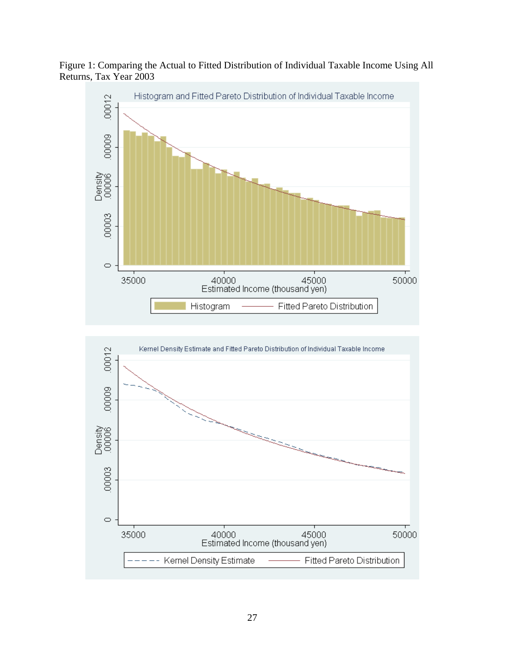Figure 1: Comparing the Actual to Fitted Distribution of Individual Taxable Income Using All Returns, Tax Year 2003



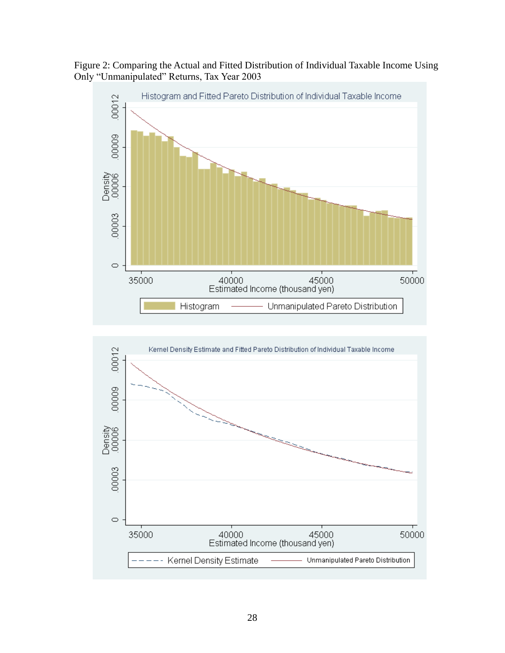Figure 2: Comparing the Actual and Fitted Distribution of Individual Taxable Income Using Only "Unmanipulated" Returns, Tax Year 2003



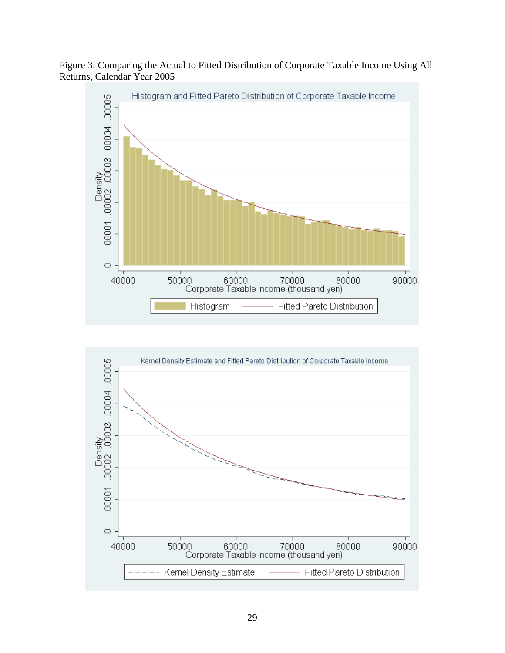



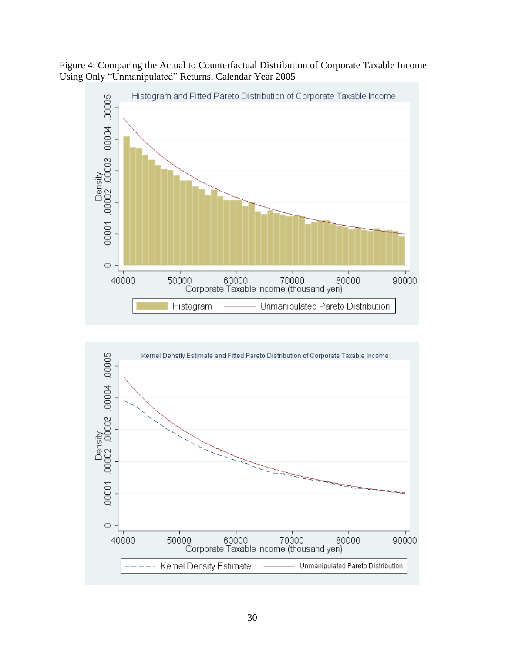Figure 4: Comparing the Actual to Counterfactual Distribution of Corporate Taxable Income Using Only "Unmanipulated" Returns, Calendar Year 2005



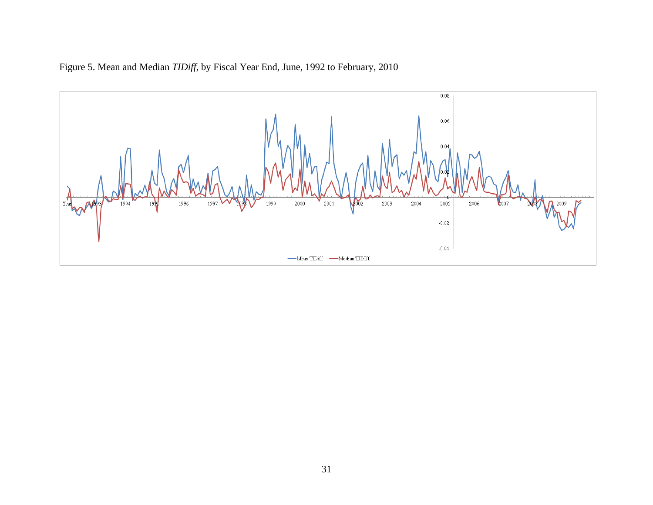

Figure 5. Mean and Median *TIDiff*, by Fiscal Year End, June, 1992 to February, 2010